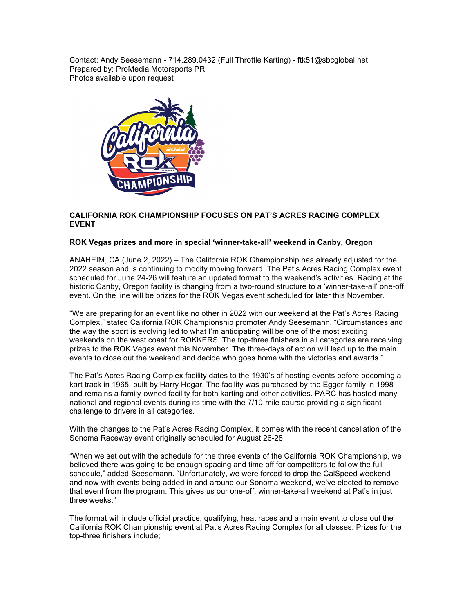Contact: Andy Seesemann - 714.289.0432 (Full Throttle Karting) - ftk51@sbcglobal.net Prepared by: ProMedia Motorsports PR Photos available upon request



## **CALIFORNIA ROK CHAMPIONSHIP FOCUSES ON PAT'S ACRES RACING COMPLEX EVENT**

## **ROK Vegas prizes and more in special 'winner-take-all' weekend in Canby, Oregon**

ANAHEIM, CA (June 2, 2022) – The California ROK Championship has already adjusted for the 2022 season and is continuing to modify moving forward. The Pat's Acres Racing Complex event scheduled for June 24-26 will feature an updated format to the weekend's activities. Racing at the historic Canby, Oregon facility is changing from a two-round structure to a 'winner-take-all' one-off event. On the line will be prizes for the ROK Vegas event scheduled for later this November.

"We are preparing for an event like no other in 2022 with our weekend at the Pat's Acres Racing Complex," stated California ROK Championship promoter Andy Seesemann. "Circumstances and the way the sport is evolving led to what I'm anticipating will be one of the most exciting weekends on the west coast for ROKKERS. The top-three finishers in all categories are receiving prizes to the ROK Vegas event this November. The three-days of action will lead up to the main events to close out the weekend and decide who goes home with the victories and awards."

The Pat's Acres Racing Complex facility dates to the 1930's of hosting events before becoming a kart track in 1965, built by Harry Hegar. The facility was purchased by the Egger family in 1998 and remains a family-owned facility for both karting and other activities. PARC has hosted many national and regional events during its time with the 7/10-mile course providing a significant challenge to drivers in all categories.

With the changes to the Pat's Acres Racing Complex, it comes with the recent cancellation of the Sonoma Raceway event originally scheduled for August 26-28.

"When we set out with the schedule for the three events of the California ROK Championship, we believed there was going to be enough spacing and time off for competitors to follow the full schedule," added Seesemann. "Unfortunately, we were forced to drop the CalSpeed weekend and now with events being added in and around our Sonoma weekend, we've elected to remove that event from the program. This gives us our one-off, winner-take-all weekend at Pat's in just three weeks."

The format will include official practice, qualifying, heat races and a main event to close out the California ROK Championship event at Pat's Acres Racing Complex for all classes. Prizes for the top-three finishers include;